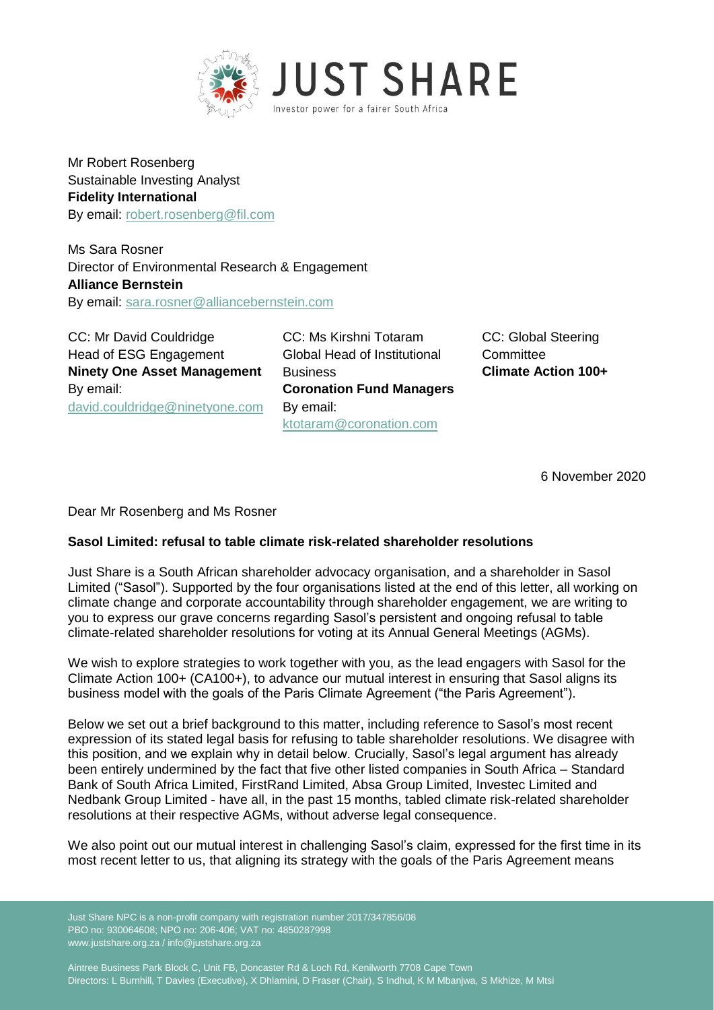

Mr Robert Rosenberg Sustainable Investing Analyst **Fidelity International**  By email: [robert.rosenberg@fil.com](mailto:robert.rosenberg@fil.com)

Ms Sara Rosner Director of Environmental Research & Engagement **Alliance Bernstein** By email: [sara.rosner@alliancebernstein.com](mailto:sara.rosner@alliancebernstein.com)

CC: Mr David Couldridge Head of ESG Engagement **Ninety One Asset Management**  By email: [david.couldridge@ninetyone.com](mailto:david.couldridge@ninetyone.com) CC: Ms Kirshni Totaram Global Head of Institutional **Business Coronation Fund Managers** By email: [ktotaram@coronation.com](mailto:ktotaram@coronation.com)

CC: Global Steering **Committee Climate Action 100+**

6 November 2020

Dear Mr Rosenberg and Ms Rosner

# **Sasol Limited: refusal to table climate risk-related shareholder resolutions**

Just Share is a South African shareholder advocacy organisation, and a shareholder in Sasol Limited ("Sasol"). Supported by the four organisations listed at the end of this letter, all working on climate change and corporate accountability through shareholder engagement, we are writing to you to express our grave concerns regarding Sasol's persistent and ongoing refusal to table climate-related shareholder resolutions for voting at its Annual General Meetings (AGMs).

We wish to explore strategies to work together with you, as the lead engagers with Sasol for the Climate Action 100+ (CA100+), to advance our mutual interest in ensuring that Sasol aligns its business model with the goals of the Paris Climate Agreement ("the Paris Agreement").

Below we set out a brief background to this matter, including reference to Sasol's most recent expression of its stated legal basis for refusing to table shareholder resolutions. We disagree with this position, and we explain why in detail below. Crucially, Sasol's legal argument has already been entirely undermined by the fact that five other listed companies in South Africa – Standard Bank of South Africa Limited, FirstRand Limited, Absa Group Limited, Investec Limited and Nedbank Group Limited - have all, in the past 15 months, tabled climate risk-related shareholder resolutions at their respective AGMs, without adverse legal consequence.

We also point out our mutual interest in challenging Sasol's claim, expressed for the first time in its most recent letter to us, that aligning its strategy with the goals of the Paris Agreement means

Just Share NPC is a non-profit company with registration number 2017/347856/08 PBO no: 930064608; NPO no: 206-406; VAT no: 4850287998 www.justshare.org.za / info@justshare.org.za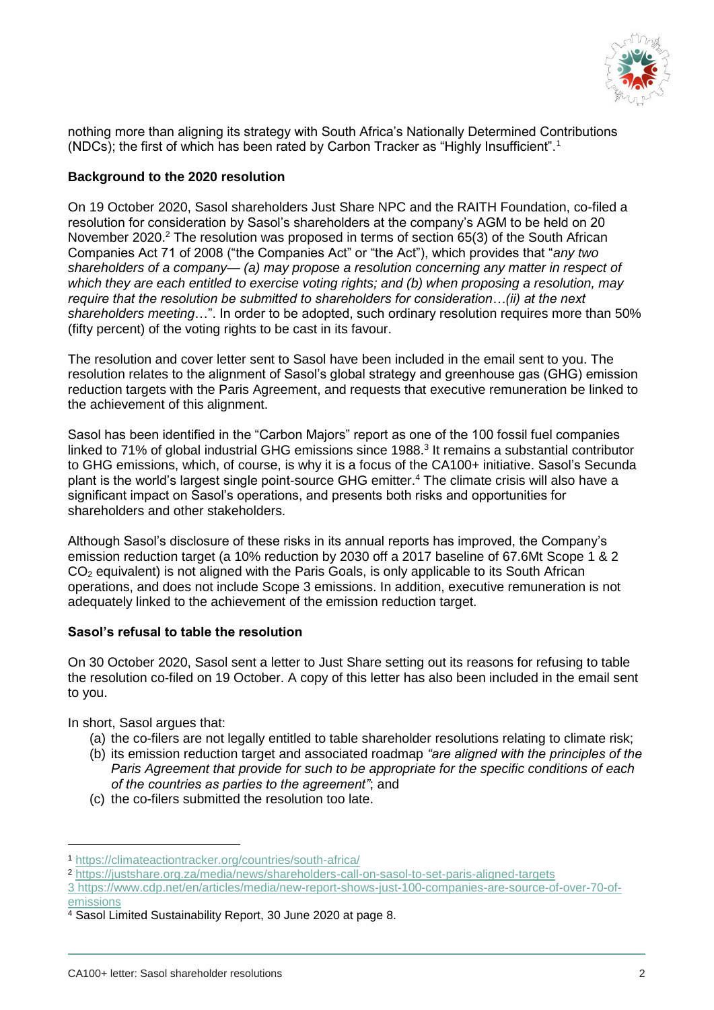

nothing more than aligning its strategy with South Africa's Nationally Determined Contributions (NDCs); the first of which has been rated by Carbon Tracker as "Highly Insufficient".<sup>1</sup>

### **Background to the 2020 resolution**

On 19 October 2020, Sasol shareholders Just Share NPC and the RAITH Foundation, co-filed a resolution for consideration by Sasol's shareholders at the company's AGM to be held on 20 November 2020.<sup>2</sup> The resolution was proposed in terms of section 65(3) of the South African Companies Act 71 of 2008 ("the Companies Act" or "the Act"), which provides that "*any two shareholders of a company— (a) may propose a resolution concerning any matter in respect of which they are each entitled to exercise voting rights; and (b) when proposing a resolution, may require that the resolution be submitted to shareholders for consideration…(ii) at the next shareholders meeting*…". In order to be adopted, such ordinary resolution requires more than 50% (fifty percent) of the voting rights to be cast in its favour.

The resolution and cover letter sent to Sasol have been included in the email sent to you. The resolution relates to the alignment of Sasol's global strategy and greenhouse gas (GHG) emission reduction targets with the Paris Agreement, and requests that executive remuneration be linked to the achievement of this alignment.

Sasol has been identified in the "Carbon Majors" report as one of the 100 fossil fuel companies linked to 71% of global industrial GHG emissions since 1988.<sup>3</sup> It remains a substantial contributor to GHG emissions, which, of course, is why it is a focus of the CA100+ initiative. Sasol's Secunda plant is the world's largest single point-source GHG emitter.<sup>4</sup> The climate crisis will also have a significant impact on Sasol's operations, and presents both risks and opportunities for shareholders and other stakeholders.

Although Sasol's disclosure of these risks in its annual reports has improved, the Company's emission reduction target (a 10% reduction by 2030 off a 2017 baseline of 67.6Mt Scope 1 & 2  $CO<sub>2</sub>$  equivalent) is not aligned with the Paris Goals, is only applicable to its South African operations, and does not include Scope 3 emissions. In addition, executive remuneration is not adequately linked to the achievement of the emission reduction target.

#### **Sasol's refusal to table the resolution**

On 30 October 2020, Sasol sent a letter to Just Share setting out its reasons for refusing to table the resolution co-filed on 19 October. A copy of this letter has also been included in the email sent to you.

In short, Sasol argues that:

-

- (a) the co-filers are not legally entitled to table shareholder resolutions relating to climate risk;
- (b) its emission reduction target and associated roadmap *"are aligned with the principles of the Paris Agreement that provide for such to be appropriate for the specific conditions of each of the countries as parties to the agreement"*; and
- (c) the co-filers submitted the resolution too late.

<sup>1</sup> <https://climateactiontracker.org/countries/south-africa/>

<sup>2</sup> <https://justshare.org.za/media/news/shareholders-call-on-sasol-to-set-paris-aligned-targets>

<sup>3</sup> [https://www.cdp.net/en/articles/media/new-report-shows-just-100-companies-are-source-of-over-70-of](https://www.cdp.net/en/articles/media/new-report-shows-just-100-companies-are-source-of-over-70-of-emissions)[emissions](https://www.cdp.net/en/articles/media/new-report-shows-just-100-companies-are-source-of-over-70-of-emissions)

<sup>4</sup> Sasol Limited Sustainability Report, 30 June 2020 at page 8.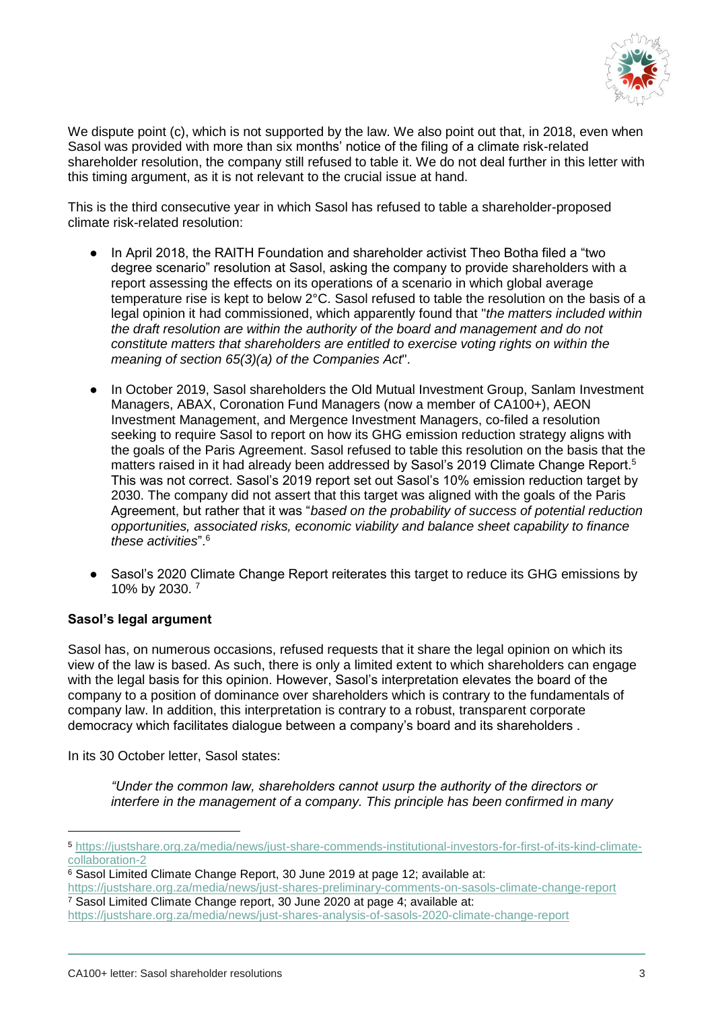

We dispute point (c), which is not supported by the law. We also point out that, in 2018, even when Sasol was provided with more than six months' notice of the filing of a climate risk-related shareholder resolution, the company still refused to table it. We do not deal further in this letter with this timing argument, as it is not relevant to the crucial issue at hand.

This is the third consecutive year in which Sasol has refused to table a shareholder-proposed climate risk-related resolution:

- In April 2018, the RAITH Foundation and shareholder activist Theo Botha filed a "two degree scenario" resolution at Sasol, asking the company to provide shareholders with a report assessing the effects on its operations of a scenario in which global average temperature rise is kept to below 2°C. Sasol refused to table the resolution on the basis of a legal opinion it had commissioned, which apparently found that "*the matters included within the draft resolution are within the authority of the board and management and do not constitute matters that shareholders are entitled to exercise voting rights on within the meaning of section 65(3)(a) of the Companies Act*".
- In October 2019, Sasol shareholders the Old Mutual Investment Group, Sanlam Investment Managers, ABAX, Coronation Fund Managers (now a member of CA100+), AEON Investment Management, and Mergence Investment Managers, co-filed a resolution seeking to require Sasol to report on how its GHG emission reduction strategy aligns with the goals of the Paris Agreement. Sasol refused to table this resolution on the basis that the matters raised in it had already been addressed by Sasol's 2019 Climate Change Report.<sup>5</sup> This was not correct. Sasol's 2019 report set out Sasol's 10% emission reduction target by 2030. The company did not assert that this target was aligned with the goals of the Paris Agreement, but rather that it was "*based on the probability of success of potential reduction opportunities, associated risks, economic viability and balance sheet capability to finance these activities*".<sup>6</sup>
- Sasol's 2020 Climate Change Report reiterates this target to reduce its GHG emissions by 10% by 2030. <sup>7</sup>

#### **Sasol's legal argument**

-

Sasol has, on numerous occasions, refused requests that it share the legal opinion on which its view of the law is based. As such, there is only a limited extent to which shareholders can engage with the legal basis for this opinion. However, Sasol's interpretation elevates the board of the company to a position of dominance over shareholders which is contrary to the fundamentals of company law. In addition, this interpretation is contrary to a robust, transparent corporate democracy which facilitates dialogue between a company's board and its shareholders .

In its 30 October letter, Sasol states:

*"Under the common law, shareholders cannot usurp the authority of the directors or interfere in the management of a company. This principle has been confirmed in many* 

<sup>5</sup> [https://justshare.org.za/media/news/just-share-commends-institutional-investors-for-first-of-its-kind-climate](https://justshare.org.za/media/news/just-share-commends-institutional-investors-for-first-of-its-kind-climate-collaboration-2)[collaboration-2](https://justshare.org.za/media/news/just-share-commends-institutional-investors-for-first-of-its-kind-climate-collaboration-2)

<sup>&</sup>lt;sup>6</sup> Sasol Limited Climate Change Report, 30 June 2019 at page 12; available at:

<https://justshare.org.za/media/news/just-shares-preliminary-comments-on-sasols-climate-change-report> <sup>7</sup> Sasol Limited Climate Change report, 30 June 2020 at page 4; available at:

<https://justshare.org.za/media/news/just-shares-analysis-of-sasols-2020-climate-change-report>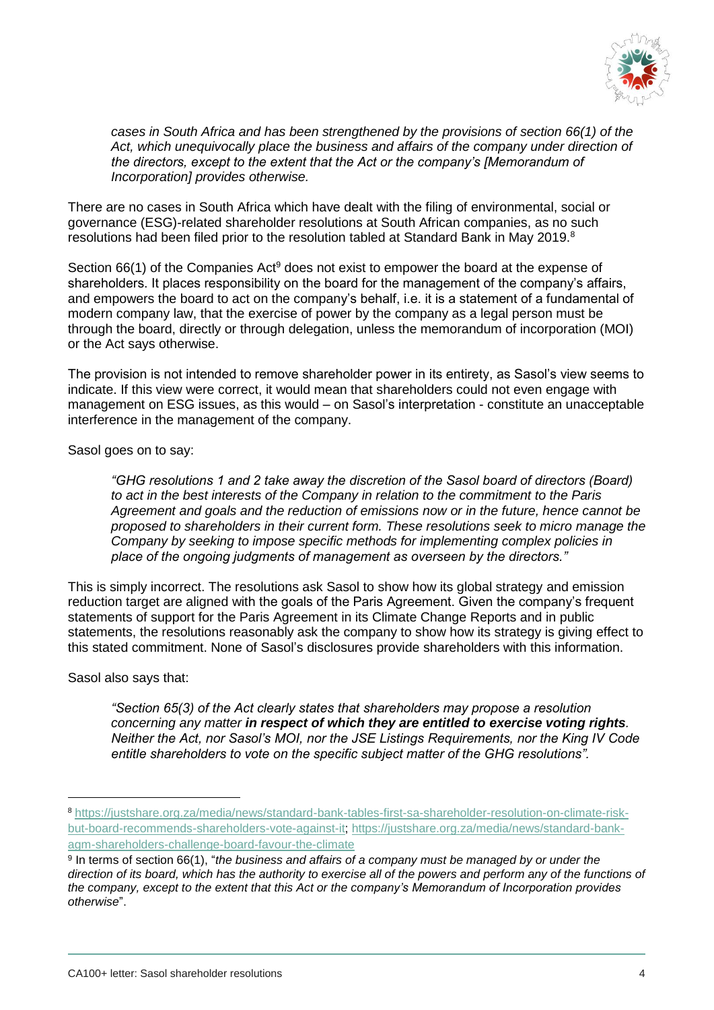

*cases in South Africa and has been strengthened by the provisions of section 66(1) of the Act, which unequivocally place the business and affairs of the company under direction of the directors, except to the extent that the Act or the company's [Memorandum of Incorporation] provides otherwise.* 

There are no cases in South Africa which have dealt with the filing of environmental, social or governance (ESG)-related shareholder resolutions at South African companies, as no such resolutions had been filed prior to the resolution tabled at Standard Bank in May 2019.<sup>8</sup>

Section  $66(1)$  of the Companies Act<sup>9</sup> does not exist to empower the board at the expense of shareholders. It places responsibility on the board for the management of the company's affairs, and empowers the board to act on the company's behalf, i.e. it is a statement of a fundamental of modern company law, that the exercise of power by the company as a legal person must be through the board, directly or through delegation, unless the memorandum of incorporation (MOI) or the Act says otherwise.

The provision is not intended to remove shareholder power in its entirety, as Sasol's view seems to indicate. If this view were correct, it would mean that shareholders could not even engage with management on ESG issues, as this would – on Sasol's interpretation - constitute an unacceptable interference in the management of the company.

Sasol goes on to say:

*"GHG resolutions 1 and 2 take away the discretion of the Sasol board of directors (Board) to act in the best interests of the Company in relation to the commitment to the Paris Agreement and goals and the reduction of emissions now or in the future, hence cannot be proposed to shareholders in their current form. These resolutions seek to micro manage the Company by seeking to impose specific methods for implementing complex policies in place of the ongoing judgments of management as overseen by the directors."*

This is simply incorrect. The resolutions ask Sasol to show how its global strategy and emission reduction target are aligned with the goals of the Paris Agreement. Given the company's frequent statements of support for the Paris Agreement in its Climate Change Reports and in public statements, the resolutions reasonably ask the company to show how its strategy is giving effect to this stated commitment. None of Sasol's disclosures provide shareholders with this information.

Sasol also says that:

-

*"Section 65(3) of the Act clearly states that shareholders may propose a resolution concerning any matter in respect of which they are entitled to exercise voting rights. Neither the Act, nor Sasol's MOI, nor the JSE Listings Requirements, nor the King IV Code entitle shareholders to vote on the specific subject matter of the GHG resolutions".* 

<sup>8</sup> [https://justshare.org.za/media/news/standard-bank-tables-first-sa-shareholder-resolution-on-climate-risk](https://justshare.org.za/media/news/standard-bank-tables-first-sa-shareholder-resolution-on-climate-risk-but-board-recommends-shareholders-vote-against-it)[but-board-recommends-shareholders-vote-against-it;](https://justshare.org.za/media/news/standard-bank-tables-first-sa-shareholder-resolution-on-climate-risk-but-board-recommends-shareholders-vote-against-it) [https://justshare.org.za/media/news/standard-bank](https://justshare.org.za/media/news/standard-bank-agm-shareholders-challenge-board-favour-the-climate)[agm-shareholders-challenge-board-favour-the-climate](https://justshare.org.za/media/news/standard-bank-agm-shareholders-challenge-board-favour-the-climate)

<sup>&</sup>lt;sup>9</sup> In terms of section 66(1), "*the business and affairs of a company must be managed by or under the* direction of its board, which has the authority to exercise all of the powers and perform any of the functions of *the company, except to the extent that this Act or the company's Memorandum of Incorporation provides otherwise*".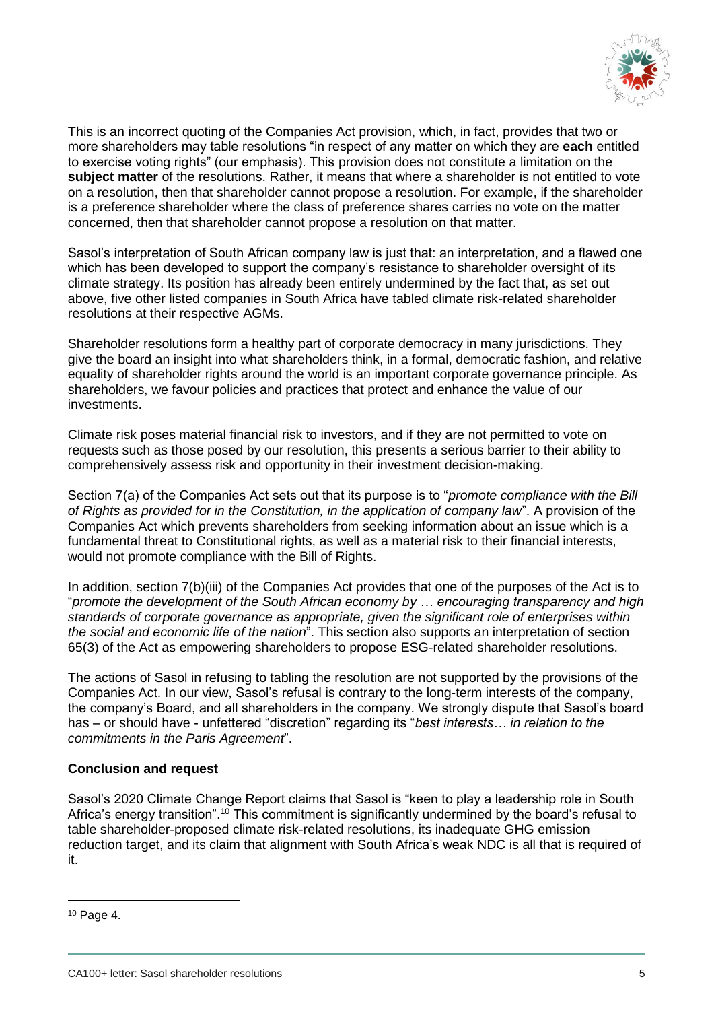

This is an incorrect quoting of the Companies Act provision, which, in fact, provides that two or more shareholders may table resolutions "in respect of any matter on which they are **each** entitled to exercise voting rights" (our emphasis). This provision does not constitute a limitation on the **subject matter** of the resolutions. Rather, it means that where a shareholder is not entitled to vote on a resolution, then that shareholder cannot propose a resolution. For example, if the shareholder is a preference shareholder where the class of preference shares carries no vote on the matter concerned, then that shareholder cannot propose a resolution on that matter.

Sasol's interpretation of South African company law is just that: an interpretation, and a flawed one which has been developed to support the company's resistance to shareholder oversight of its climate strategy. Its position has already been entirely undermined by the fact that, as set out above, five other listed companies in South Africa have tabled climate risk-related shareholder resolutions at their respective AGMs.

Shareholder resolutions form a healthy part of corporate democracy in many jurisdictions. They give the board an insight into what shareholders think, in a formal, democratic fashion, and relative equality of shareholder rights around the world is an important corporate governance principle. As shareholders, we favour policies and practices that protect and enhance the value of our investments.

Climate risk poses material financial risk to investors, and if they are not permitted to vote on requests such as those posed by our resolution, this presents a serious barrier to their ability to comprehensively assess risk and opportunity in their investment decision-making.

Section 7(a) of the Companies Act sets out that its purpose is to "*promote compliance with the Bill of Rights as provided for in the Constitution, in the application of company law*". A provision of the Companies Act which prevents shareholders from seeking information about an issue which is a fundamental threat to Constitutional rights, as well as a material risk to their financial interests, would not promote compliance with the Bill of Rights.

In addition, section 7(b)(iii) of the Companies Act provides that one of the purposes of the Act is to "*promote the development of the South African economy by … encouraging transparency and high standards of corporate governance as appropriate, given the significant role of enterprises within the social and economic life of the nation*". This section also supports an interpretation of section 65(3) of the Act as empowering shareholders to propose ESG-related shareholder resolutions.

The actions of Sasol in refusing to tabling the resolution are not supported by the provisions of the Companies Act. In our view, Sasol's refusal is contrary to the long-term interests of the company, the company's Board, and all shareholders in the company. We strongly dispute that Sasol's board has – or should have - unfettered "discretion" regarding its "*best interests… in relation to the commitments in the Paris Agreement*".

#### **Conclusion and request**

Sasol's 2020 Climate Change Report claims that Sasol is "keen to play a leadership role in South Africa's energy transition".<sup>10</sup> This commitment is significantly undermined by the board's refusal to table shareholder-proposed climate risk-related resolutions, its inadequate GHG emission reduction target, and its claim that alignment with South Africa's weak NDC is all that is required of it.

-

<sup>10</sup> Page 4.